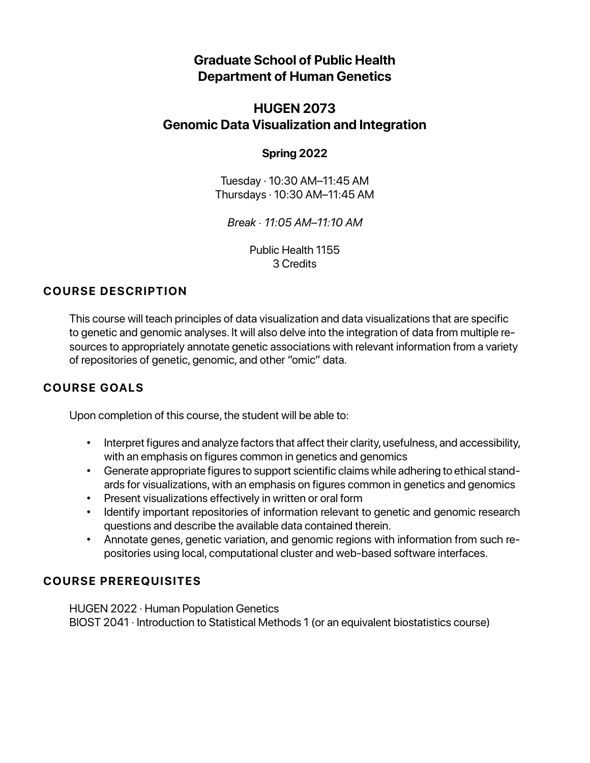# **Graduate School of Public Health Department of Human Genetics**

# **HUGEN 2073 Genomic Data Visualization and Integration**

## **Spring 2022**

Tuesday · 10:30 AM–11:45 AM Thursdays · 10:30 AM–11:45 AM

*Break · 11:05 AM–11:10 AM*

Public Health 1155 3 Credits

# **COURSE DESCRIPTION**

This course will teach principles of data visualization and data visualizations that are specific to genetic and genomic analyses. It will also delve into the integration of data from multiple resources to appropriately annotate genetic associations with relevant information from a variety of repositories of genetic, genomic, and other "omic" data.

# **COURSE GOALS**

Upon completion of this course, the student will be able to:

- Interpret figures and analyze factors that affect their clarity, usefulness, and accessibility, with an emphasis on figures common in genetics and genomics
- Generate appropriate figures to support scientific claims while adhering to ethical standards for visualizations, with an emphasis on figures common in genetics and genomics
- Present visualizations effectively in written or oral form
- Identify important repositories of information relevant to genetic and genomic research questions and describe the available data contained therein.
- Annotate genes, genetic variation, and genomic regions with information from such repositories using local, computational cluster and web-based software interfaces.

# **COURSE PREREQUISITES**

HUGEN 2022 · Human Population Genetics BIOST 2041 · Introduction to Statistical Methods 1 (or an equivalent biostatistics course)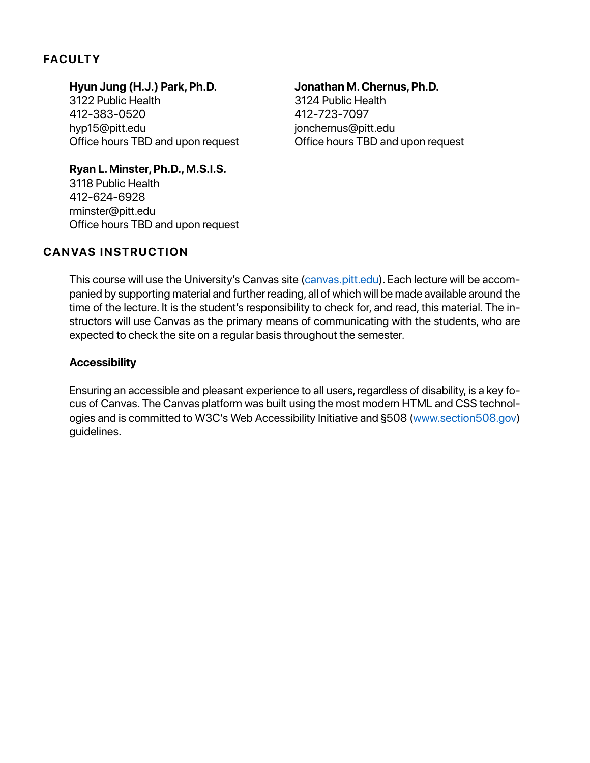## **FACULTY**

## **Hyun Jung (H.J.) Park, Ph.D.**

3122 Public Health 412-383-0520 hyp15@pitt.edu Office hours TBD and upon request

### **Jonathan M. Chernus, Ph.D.**

3124 Public Health 412-723-7097 jonchernus@pitt.edu Office hours TBD and upon request

**Ryan L. Minster, Ph.D., M.S.I.S.** 3118 Public Health 412-624-6928 rminster@pitt.edu Office hours TBD and upon request

## **CANVAS INSTRUCTION**

This course will use the University's Canvas site (canvas.pitt.edu). Each lecture will be accompanied by supporting material and further reading, all of which will be made available around the time of the lecture. It is the student's responsibility to check for, and read, this material. The instructors will use Canvas as the primary means of communicating with the students, who are expected to check the site on a regular basis throughout the semester.

## **Accessibility**

Ensuring an accessible and pleasant experience to all users, regardless of disability, is a key focus of Canvas. The Canvas platform was built using the most modern HTML and CSS technologies and is committed to W3C's Web Accessibility Initiative and §508 (www.section508.gov) guidelines.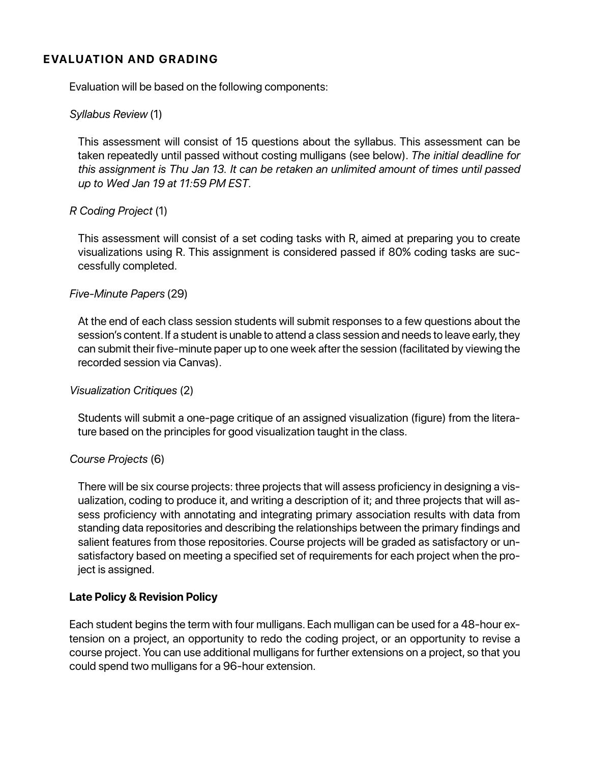## **EVALUATION AND GRADING**

Evaluation will be based on the following components:

### *Syllabus Review* (1)

This assessment will consist of 15 questions about the syllabus. This assessment can be taken repeatedly until passed without costing mulligans (see below). *The initial deadline for this assignment is Thu Jan 13. It can be retaken an unlimited amount of times until passed up to Wed Jan 19 at 11:59 PM EST.*

### *R Coding Project* (1)

This assessment will consist of a set coding tasks with R, aimed at preparing you to create visualizations using R. This assignment is considered passed if 80% coding tasks are successfully completed.

### *Five-Minute Papers* (29)

At the end of each class session students will submit responses to a few questions about the session's content. If a student is unable to attend a class session and needs to leave early, they can submit their five-minute paper up to one week after the session (facilitated by viewing the recorded session via Canvas).

### *Visualization Critiques* (2)

Students will submit a one-page critique of an assigned visualization (figure) from the literature based on the principles for good visualization taught in the class.

### *Course Projects* (6)

There will be six course projects: three projects that will assess proficiency in designing a visualization, coding to produce it, and writing a description of it; and three projects that will assess proficiency with annotating and integrating primary association results with data from standing data repositories and describing the relationships between the primary findings and salient features from those repositories. Course projects will be graded as satisfactory or unsatisfactory based on meeting a specified set of requirements for each project when the project is assigned.

### **Late Policy & Revision Policy**

Each student begins the term with four mulligans. Each mulligan can be used for a 48-hour extension on a project, an opportunity to redo the coding project, or an opportunity to revise a course project. You can use additional mulligans for further extensions on a project, so that you could spend two mulligans for a 96-hour extension.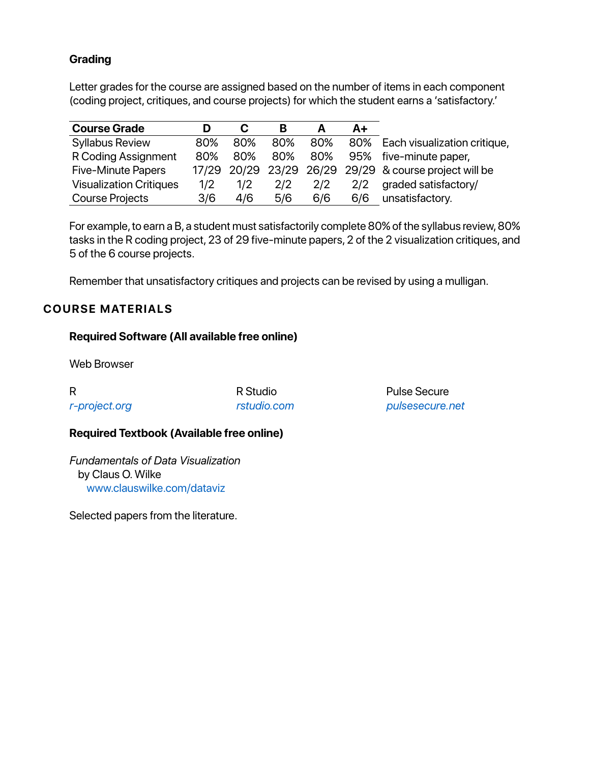## **Grading**

Letter grades for the course are assigned based on the number of items in each component (coding project, critiques, and course projects) for which the student earns a 'satisfactory.'

| <b>Course Grade</b>            |       | C   | В   |     | $A+$ |                                                  |
|--------------------------------|-------|-----|-----|-----|------|--------------------------------------------------|
| <b>Syllabus Review</b>         | 80%   | 80% | 80% | 80% |      | 80% Each visualization critique,                 |
| R Coding Assignment            | 80%   | 80% | 80% | 80% |      | 95% five-minute paper,                           |
| <b>Five-Minute Papers</b>      | 17/29 |     |     |     |      | 20/29 23/29 26/29 29/29 & course project will be |
| <b>Visualization Critiques</b> | 1/2   | 1/2 | 2/2 | 2/2 | 2/2  | graded satisfactory/                             |
| <b>Course Projects</b>         | 3/6   | 4/6 | 5/6 | 6/6 | 6/6  | unsatisfactory.                                  |

For example, to earn a B, a student must satisfactorily complete 80% of the syllabus review, 80% tasks in the R coding project, 23 of 29 five-minute papers, 2 of the 2 visualization critiques, and 5 of the 6 course projects.

Remember that unsatisfactory critiques and projects can be revised by using a mulligan.

## **COURSE MATERIALS**

## **Required Software (All available free online)**

Web Browser

| R             |  |
|---------------|--|
| r-project.org |  |

R Studio *rstudio.com* Pulse Secure *pulsesecure.net*

## **Required Textbook (Available free online)**

*Fundamentals of Data Visualization* by Claus O. Wilke www.clauswilke.com/dataviz

Selected papers from the literature.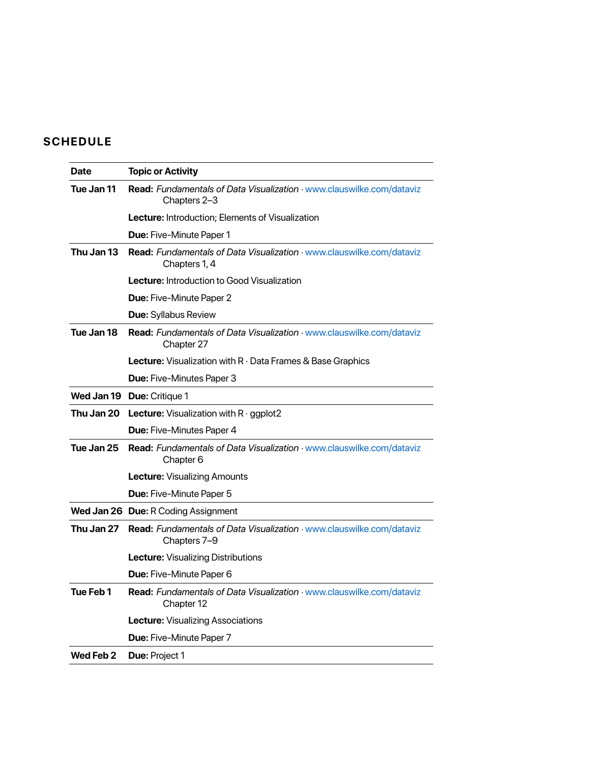# **SCHEDULE**

| Date       | <b>Topic or Activity</b>                                                                      |
|------------|-----------------------------------------------------------------------------------------------|
| Tue Jan 11 | Read: Fundamentals of Data Visualization · www.clauswilke.com/dataviz<br>Chapters 2-3         |
|            | <b>Lecture:</b> Introduction; Elements of Visualization                                       |
|            | <b>Due: Five-Minute Paper 1</b>                                                               |
| Thu Jan 13 | <b>Read: Fundamentals of Data Visualization · www.clauswilke.com/dataviz</b><br>Chapters 1, 4 |
|            | <b>Lecture:</b> Introduction to Good Visualization                                            |
|            | <b>Due:</b> Five-Minute Paper 2                                                               |
|            | <b>Due:</b> Syllabus Review                                                                   |
| Tue Jan 18 | Read: Fundamentals of Data Visualization · www.clauswilke.com/dataviz<br>Chapter 27           |
|            | Lecture: Visualization with R · Data Frames & Base Graphics                                   |
|            | <b>Due: Five-Minutes Paper 3</b>                                                              |
|            | Wed Jan 19 Due: Critique 1                                                                    |
|            | <b>Thu Jan 20 Lecture:</b> Visualization with $R \cdot ggplot2$                               |
|            | <b>Due:</b> Five-Minutes Paper 4                                                              |
| Tue Jan 25 | Read: Fundamentals of Data Visualization · www.clauswilke.com/dataviz<br>Chapter 6            |
|            | <b>Lecture: Visualizing Amounts</b>                                                           |
|            | <b>Due: Five-Minute Paper 5</b>                                                               |
|            | Wed Jan 26 Due: R Coding Assignment                                                           |
| Thu Jan 27 | Read: Fundamentals of Data Visualization · www.clauswilke.com/dataviz<br>Chapters 7-9         |
|            | <b>Lecture: Visualizing Distributions</b>                                                     |
|            | <b>Due: Five-Minute Paper 6</b>                                                               |
| Tue Feb 1  | Read: Fundamentals of Data Visualization · www.clauswilke.com/dataviz<br>Chapter 12           |
|            | Lecture: Visualizing Associations                                                             |
|            | Due: Five-Minute Paper 7                                                                      |
| Wed Feb 2  | Due: Project 1                                                                                |
|            |                                                                                               |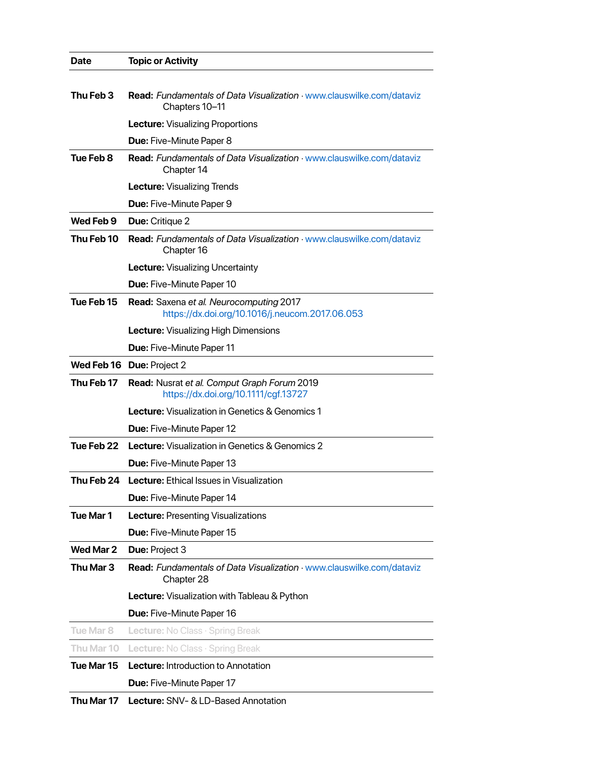| <b>Date</b>      | <b>Topic or Activity</b>                                                                   |
|------------------|--------------------------------------------------------------------------------------------|
| Thu Feb 3        | Read: Fundamentals of Data Visualization · www.clauswilke.com/dataviz<br>Chapters 10-11    |
|                  | Lecture: Visualizing Proportions                                                           |
|                  | Due: Five-Minute Paper 8                                                                   |
| Tue Feb 8        | <b>Read: Fundamentals of Data Visualization · www.clauswilke.com/dataviz</b><br>Chapter 14 |
|                  | <b>Lecture: Visualizing Trends</b>                                                         |
|                  | Due: Five-Minute Paper 9                                                                   |
| Wed Feb 9        | <b>Due: Critique 2</b>                                                                     |
| Thu Feb 10       | Read: Fundamentals of Data Visualization · www.clauswilke.com/dataviz<br>Chapter 16        |
|                  | <b>Lecture:</b> Visualizing Uncertainty                                                    |
|                  | Due: Five-Minute Paper 10                                                                  |
| Tue Feb 15       | Read: Saxena et al. Neurocomputing 2017<br>https://dx.doi.org/10.1016/j.neucom.2017.06.053 |
|                  | <b>Lecture:</b> Visualizing High Dimensions                                                |
|                  | <b>Due: Five-Minute Paper 11</b>                                                           |
|                  | Wed Feb 16 Due: Project 2                                                                  |
| Thu Feb 17       | Read: Nusrat et al. Comput Graph Forum 2019<br>https://dx.doi.org/10.1111/cgf.13727        |
|                  | <b>Lecture:</b> Visualization in Genetics & Genomics 1                                     |
|                  | <b>Due:</b> Five-Minute Paper 12                                                           |
| Tue Feb 22       | <b>Lecture:</b> Visualization in Genetics & Genomics 2                                     |
|                  | <b>Due:</b> Five-Minute Paper 13                                                           |
| Thu Feb 24       | <b>Lecture:</b> Ethical Issues in Visualization                                            |
|                  | Due: Five-Minute Paper 14                                                                  |
| Tue Mar 1        | <b>Lecture: Presenting Visualizations</b>                                                  |
|                  | Due: Five-Minute Paper 15                                                                  |
| Wed Mar 2        | Due: Project 3                                                                             |
| Thu Mar 3        | Read: Fundamentals of Data Visualization · www.clauswilke.com/dataviz<br>Chapter 28        |
|                  | Lecture: Visualization with Tableau & Python                                               |
|                  | Due: Five-Minute Paper 16                                                                  |
| <b>Tue Mar 8</b> | <b>Lecture:</b> No Class $\cdot$ Spring Break                                              |
| Thu Mar 10       | Lecture: No Class · Spring Break                                                           |
| Tue Mar 15       | <b>Lecture:</b> Introduction to Annotation                                                 |
|                  | Due: Five-Minute Paper 17                                                                  |
| Thu Mar 17       | <b>Lecture:</b> SNV- & LD-Based Annotation                                                 |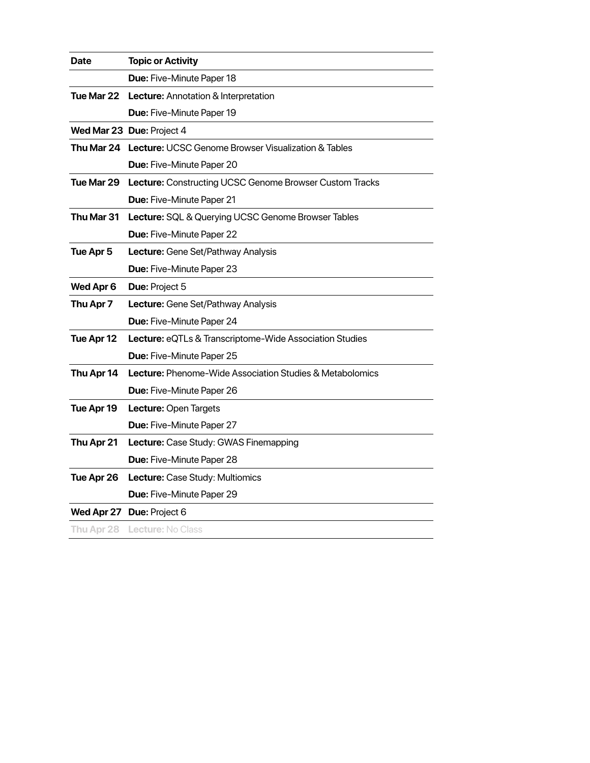| <b>Date</b> | <b>Topic or Activity</b>                                              |
|-------------|-----------------------------------------------------------------------|
|             | Due: Five-Minute Paper 18                                             |
| Tue Mar 22  | Lecture: Annotation & Interpretation                                  |
|             | <b>Due: Five-Minute Paper 19</b>                                      |
|             | Wed Mar 23 Due: Project 4                                             |
|             | <b>Thu Mar 24 Lecture:</b> UCSC Genome Browser Visualization & Tables |
|             | <b>Due: Five-Minute Paper 20</b>                                      |
| Tue Mar 29  | Lecture: Constructing UCSC Genome Browser Custom Tracks               |
|             | Due: Five-Minute Paper 21                                             |
| Thu Mar 31  | Lecture: SQL & Querying UCSC Genome Browser Tables                    |
|             | <b>Due: Five-Minute Paper 22</b>                                      |
| Tue Apr 5   | Lecture: Gene Set/Pathway Analysis                                    |
|             | Due: Five-Minute Paper 23                                             |
| Wed Apr 6   | Due: Project 5                                                        |
| Thu Apr 7   | Lecture: Gene Set/Pathway Analysis                                    |
|             | Due: Five-Minute Paper 24                                             |
| Tue Apr 12  | Lecture: eQTLs & Transcriptome-Wide Association Studies               |
|             | Due: Five-Minute Paper 25                                             |
| Thu Apr 14  | <b>Lecture:</b> Phenome-Wide Association Studies & Metabolomics       |
|             | <b>Due: Five-Minute Paper 26</b>                                      |
| Tue Apr 19  | Lecture: Open Targets                                                 |
|             | Due: Five-Minute Paper 27                                             |
| Thu Apr 21  | Lecture: Case Study: GWAS Finemapping                                 |
|             | Due: Five-Minute Paper 28                                             |
| Tue Apr 26  | Lecture: Case Study: Multiomics                                       |
|             | Due: Five-Minute Paper 29                                             |
|             | Wed Apr 27 Due: Project 6                                             |
|             | Thu Apr 28 Lecture: No Class                                          |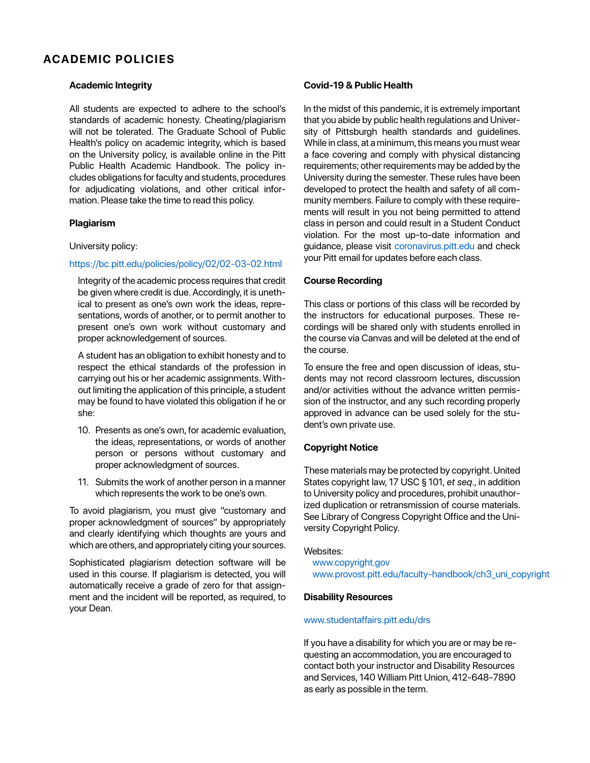### **ACADEMIC POLICIES**

#### **Academic Integrity**

All students are expected to adhere to the school's standards of academic honesty. Cheating/plagiarism will not be tolerated. The Graduate School of Public Health's policy on academic integrity, which is based on the University policy, is available online in the Pitt Public Health Academic Handbook. The policy includes obligations for faculty and students, procedures for adjudicating violations, and other critical information. Please take the time to read this policy.

#### **Plagiarism**

#### University policy:

#### https://bc.pitt.edu/policies/policy/02/02-03-02.html

Integrity of the academic process requires that credit be given where credit is due. Accordingly, it is unethical to present as one's own work the ideas, representations, words of another, or to permit another to present one's own work without customary and proper acknowledgement of sources.

A student has an obligation to exhibit honesty and to respect the ethical standards of the profession in carrying out his or her academic assignments. Without limiting the application of this principle, a student may be found to have violated this obligation if he or she:

- 10. Presents as one's own, for academic evaluation, the ideas, representations, or words of another person or persons without customary and proper acknowledgment of sources.
- 11. Submits the work of another person in a manner which represents the work to be one's own.

To avoid plagiarism, you must give "customary and proper acknowledgment of sources" by appropriately and clearly identifying which thoughts are yours and which are others, and appropriately citing your sources.

Sophisticated plagiarism detection software will be used in this course. If plagiarism is detected, you will automatically receive a grade of zero for that assignment and the incident will be reported, as required, to your Dean.

### **Covid-19 & Public Health**

In the midst of this pandemic, it is extremely important that you abide by public health regulations and University of Pittsburgh health standards and guidelines. While in class, at a minimum, this means you must wear a face covering and comply with physical distancing requirements; other requirements may be added by the University during the semester. These rules have been developed to protect the health and safety of all community members. Failure to comply with these requirements will result in you not being permitted to attend class in person and could result in a Student Conduct violation. For the most up-to-date information and guidance, please visit coronavirus.pitt.edu and check your Pitt email for updates before each class.

#### **Course Recording**

This class or portions of this class will be recorded by the instructors for educational purposes. These recordings will be shared only with students enrolled in the course via Canvas and will be deleted at the end of the course.

To ensure the free and open discussion of ideas, students may not record classroom lectures, discussion and/or activities without the advance written permission of the instructor, and any such recording properly approved in advance can be used solely for the student's own private use.

### **Copyright Notice**

These materials may be protected by copyright. United States copyright law, 17 USC § 101, *et seq*., in addition to University policy and procedures, prohibit unauthorized duplication or retransmission of course materials. See Library of Congress Copyright Office and the University Copyright Policy.

#### Websites:

www.copyright.gov www.provost.pitt.edu/faculty-handbook/ch3\_uni\_copyright

#### **Disability Resources**

#### www.studentaffairs.pitt.edu/drs

If you have a disability for which you are or may be requesting an accommodation, you are encouraged to contact both your instructor and Disability Resources and Services, 140 William Pitt Union, 412-648-7890 as early as possible in the term.